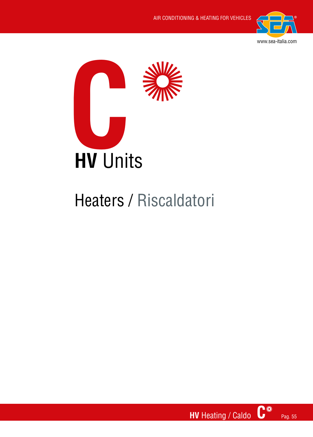



## Heaters / Riscaldatori

**HV** Heating / Caldo **C**  $\frac{1}{2}$  Pag. 55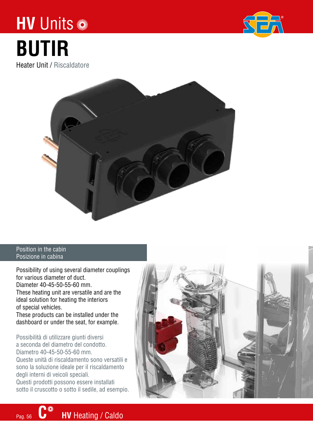### **HV** Units **BUTIR** Heater Unit / Riscaldatore



### Position in the cabin Posizione in cabina

Possibility of using several diameter couplings for various diameter of duct. Diameter 40-45-50-55-60 mm. These heating unit are versatile and are the ideal solution for heating the interiors of special vehicles. These products can be installed under the dashboard or under the seat, for example.

Possibilità di utilizzare giunti diversi a seconda del diametro del condotto. Diametro 40-45-50-55-60 mm. Queste unità di riscaldamento sono versatili e sono la soluzione ideale per il riscaldamento degli interni di veicoli speciali. Questi prodotti possono essere installati sotto il cruscotto o sotto il sedile, ad esempio.

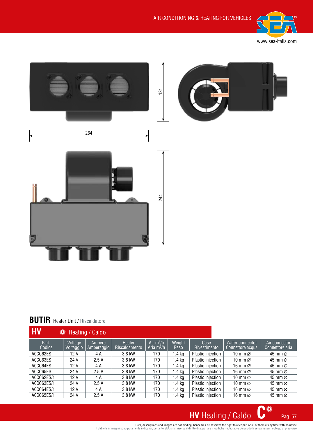



### **BUTIR** Heater Unit / Riscaldatore

| <b>HV</b>       | ▓€                   | Heating / Caldo      |                         |                             |                  |                      |                                     |                                  |  |  |  |  |
|-----------------|----------------------|----------------------|-------------------------|-----------------------------|------------------|----------------------|-------------------------------------|----------------------------------|--|--|--|--|
| Part.<br>Codice | Voltage<br>Voltaggio | Ampere<br>Amperaggio | Heater<br>Riscaldamento | Air $m^3/h$<br>Aria $m^3/h$ | Weight<br>Peso   | Case<br>Rivestimento | Water connector<br>Connettore acqua | Air connector<br>Connettore aria |  |  |  |  |
| A0CC62ES        | 12V                  | 4 A                  | 3.8 kW                  | 170                         | $1.4$ kg         | Plastic injection    | 10 mm $\varnothing$                 | 45 mm $\varnothing$              |  |  |  |  |
| A0CC63ES        | 24 V                 | 2.5A                 | 3.8 kW                  | 170                         | $1.4 \text{ kg}$ | Plastic injection    | 10 mm $\varnothing$                 | 45 mm $\varnothing$              |  |  |  |  |
| A0CC64ES        | 12V                  | 4 A                  | 3.8 kW                  | 170                         | 1.4 kg           | Plastic injection    | 16 mm $\varnothing$                 | 45 mm $\varnothing$              |  |  |  |  |
| A0CC65ES        | 24 V                 | 2.5A                 | 3.8 kW                  | 170                         | $1.4 \text{ kg}$ | Plastic injection    | 16 mm $\varnothing$                 | 45 mm $\varnothing$              |  |  |  |  |
| A0CC62ES/1      | 12V                  | 4 A                  | 3.8 kW                  | 170                         | $1.4 \text{ kg}$ | Plastic injection    | 10 mm $\varnothing$                 | 45 mm $\varnothing$              |  |  |  |  |
| A0CC63ES/1      | 24 V                 | 2.5A                 | 3.8 kW                  | 170                         | $1.4 \text{ kg}$ | Plastic injection    | 10 mm $\varnothing$                 | 45 mm $\varnothing$              |  |  |  |  |
| A0CC64ES/1      | 12V                  | 4 A                  | 3.8 kW                  | 170                         | 1.4 kg           | Plastic injection    | 16 mm $\varnothing$                 | 45 mm $\varnothing$              |  |  |  |  |
| A0CC65ES/1      | 24 V                 | 2.5A                 | 3.8 kW                  | 170                         | 1.4 ka           | Plastic injection    | 16 mm $\varnothing$                 | 45 mm $\varnothing$              |  |  |  |  |



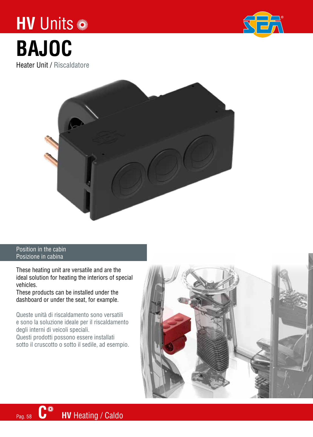## **HV** Units **BAJOC**



Heater Unit / Riscaldatore



### Position in the cabin Posizione in cabina

These heating unit are versatile and are the ideal solution for heating the interiors of special vehicles.

These products can be installed under the dashboard or under the seat, for example.

Queste unità di riscaldamento sono versatili e sono la soluzione ideale per il riscaldamento degli interni di veicoli speciali. Questi prodotti possono essere installati

sotto il cruscotto o sotto il sedile, ad esempio.

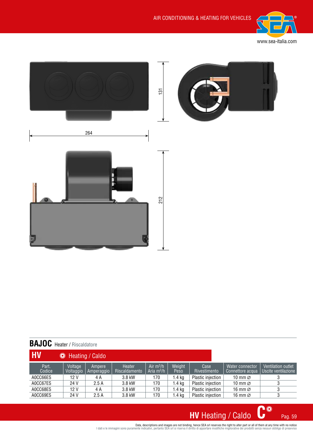



### **BAJOC** Heater / Riscaldatore

| <b>HV</b>       |                      | <b>\</b> Heating / Caldo |                                |                             |                 |                      |                                      |                                             |  |  |
|-----------------|----------------------|--------------------------|--------------------------------|-----------------------------|-----------------|----------------------|--------------------------------------|---------------------------------------------|--|--|
| Part.<br>Codice | Voltage<br>Voltaggio | Ampere<br>Amperaggio     | Heater<br><b>Riscaldamento</b> | Air $m^3/h$<br>Aria $m^3/h$ | Weight<br>Peso  | Case<br>Rivestimento | Water connector.<br>Connettore acqua | Ventilation outlet<br>Uscite ventilazione , |  |  |
| A0CC66ES        | 12 V                 | 4 A                      | 170<br>3.8 kW                  |                             | .4 kg           | Plastic injection    | 10 mm $\varnothing$                  |                                             |  |  |
| A0CC67ES        | 24 V                 | 2.5A                     | 3.8 kW                         | 170                         | . .4 kg         | Plastic injection    | 10 mm $\varnothing$                  |                                             |  |  |
| A0CC68ES        | 12 V                 | 4 A                      | 3.8 kW                         | 170                         | .4 kg           | Plastic injection    | 16 mm $\varnothing$                  |                                             |  |  |
| A0CC69ES        | 24 V                 | 2.5A                     | 3.8 kW                         | 170                         | $.4 \text{ kg}$ | Plastic injection    | 16 mm $\varnothing$                  | 3                                           |  |  |

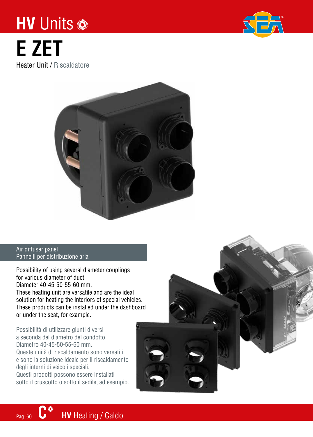## **HV** Units



### **E ZET** Heater Unit / Riscaldatore



### Air diffuser panel Pannelli per distribuzione aria

Possibility of using several diameter couplings for various diameter of duct. Diameter 40-45-50-55-60 mm. These heating unit are versatile and are the ideal solution for heating the interiors of special vehicles. These products can be installed under the dashboard or under the seat, for example.

Possibilità di utilizzare giunti diversi a seconda del diametro del condotto. Diametro 40-45-50-55-60 mm. Queste unità di riscaldamento sono versatili e sono la soluzione ideale per il riscaldamento degli interni di veicoli speciali. Questi prodotti possono essere installati sotto il cruscotto o sotto il sedile, ad esempio.

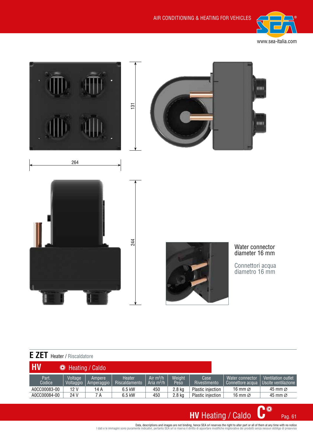



### **E ZET** Heater / Riscaldatore

| <b>HV</b>       |                      | <b>WE</b> Heating / Caldo |                         |                             |                |                      |                                         |                                           |  |  |
|-----------------|----------------------|---------------------------|-------------------------|-----------------------------|----------------|----------------------|-----------------------------------------|-------------------------------------------|--|--|
| Part.<br>Codice | Voltage<br>Voltaggio | Ampere<br>Amperaggio      | Heater<br>Riscaldamento | Air $m^3/h$<br>Aria $m^3/h$ | Weight<br>Peso | Case<br>Rivestimento | ' Water connector .<br>Connettore acqua | Ventilation outlet<br>Uscite ventilazione |  |  |
| A0CC00083-00    | 12 V                 | 14 A                      | 6.5 kW                  | 450                         | 2.8 kg         | Plastic injection    | 16 mm ⊘                                 | 45 mm $\varnothing$                       |  |  |
| A0CC00084-00    | 24 V                 | 7 A                       | 6.5 kW                  | 450                         | 2.8 kg         | Plastic injection    | 16 mm $\varnothing$                     | 45 mm ⊘                                   |  |  |

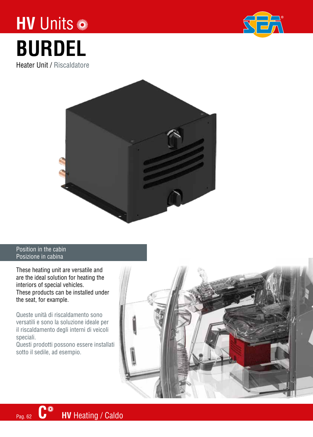### **HV** Units **BURDEL** Heater Unit / Riscaldatore





### Position in the cabin Posizione in cabina

These heating unit are versatile and are the ideal solution for heating the interiors of special vehicles. These products can be installed under the seat, for example.

Queste unità di riscaldamento sono versatili e sono la soluzione ideale per il riscaldamento degli interni di veicoli speciali.

Questi prodotti possono essere installati sotto il sedile, ad esempio.

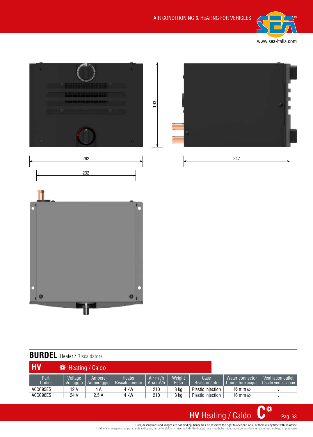



### **BURDEL** Heater / Riscaldatore

| <b>HV</b>       | <b>WE</b> Heating / Caldo                    |      |                         |                             |                |                          |                                     |                                             |
|-----------------|----------------------------------------------|------|-------------------------|-----------------------------|----------------|--------------------------|-------------------------------------|---------------------------------------------|
| Part.<br>Codice | Voltage<br>Ampere<br>Voltaggio<br>Amperaggio |      | Heater<br>Riscaldamento | Air $m^3/h$<br>Aria $m^3/h$ | Weiaht<br>Peso | Case<br>Rivestimento     | Water connector<br>Connettore acqua | Ventilation outlet<br>Uscite ventilazione I |
| A0CC95ES        | 12 V                                         | 4 A  | 4 kW                    | 210                         | 3 kg           | Plastic injection        | 16 mm $\varnothing$                 | $\cdots$                                    |
| A0CC96ES        | 24 V                                         | 2.5A | 4 kW                    | 210                         | 3 kg           | <b>Plastic injection</b> | 16 mm $\varnothing$                 | $\cdots$                                    |

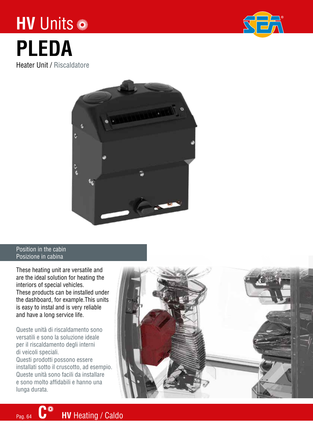## **HV** Units **PLEDA**

Heater Unit / Riscaldatore



 $\frac{1}{2}$ 

#### Position in the cabin Posizione in cabina

These heating unit are versatile and are the ideal solution for heating the interiors of special vehicles. These products can be installed under the dashboard, for example.This units is easy to instal and is very reliable and have a long service life.

Queste unità di riscaldamento sono versatili e sono la soluzione ideale per il riscaldamento degli interni di veicoli speciali. Questi prodotti possono essere installati sotto il cruscotto, ad esempio. Queste unità sono facili da installare e sono molto affidabili e hanno una lunga durata.

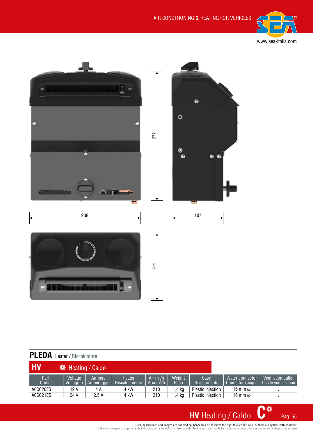



### **PLEDA** Heater / Riscaldatore

| l HV                         | <b>Kong / Caldo</b>  |                      |                         |                             |                |                          |                                     |                                           |
|------------------------------|----------------------|----------------------|-------------------------|-----------------------------|----------------|--------------------------|-------------------------------------|-------------------------------------------|
| Part.<br>Codice <sup>1</sup> | Voltage<br>Voltaggio | Ampere<br>Amperaggio | Heater<br>Riscaldamento | Air $m^3/h$<br>Aria $m^3/h$ | Weiaht<br>Peso | Case<br>Rivestimento     | Water connector<br>Connettore acqua | Ventilation outlet<br>Uscite ventilazione |
| A0CC20ES                     | 12 V                 | 4 A                  | 4 kW                    | 210                         | . .4 ka        | <b>Plastic injection</b> | 16 mm $\varnothing$                 | $\cdots$                                  |
| A0CC21ES                     | 24 V                 | 2.5A                 | 4 kW                    | 210                         | . .4 ka        | <b>Plastic injection</b> | 16 mm $\varnothing$                 | $\cdots$                                  |

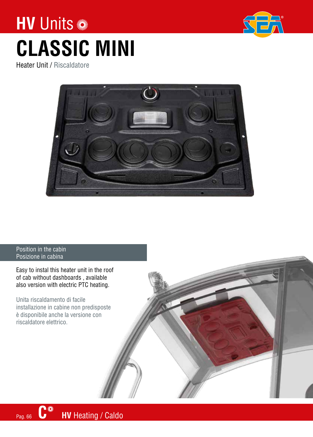



# **CLASSIC MINI**

Heater Unit / Riscaldatore



#### Position in the cabin Posizione in cabina

Easy to instal this heater unit in the roof of cab without dashboards , available also version with electric PTC heating.

Unita riscaldamento di facile installazione in cabine non predisposte è disponibile anche la versione con riscaldatore elettrico.

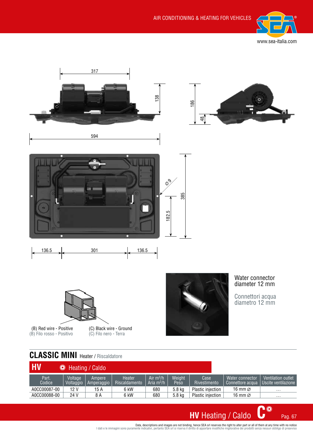



### **CLASSIC MINI Heater / Riscaldatore**

| <b>HV</b>                    |                      | <b>If Heating / Caldo</b> |                         |                             |                |                      |                                            |                                           |
|------------------------------|----------------------|---------------------------|-------------------------|-----------------------------|----------------|----------------------|--------------------------------------------|-------------------------------------------|
| Part.<br>Codice <sup>1</sup> | Voltage<br>Voltaggio | Ampere<br>Amperaggio      | Heater<br>Riscaldamento | Air $m^3/h$<br>Aria $m^3/h$ | Weight<br>Peso | Case<br>Rivestimento | <b>Water connector</b><br>Connettore acqua | Ventilation outlet<br>Uscite ventilazione |
| A0CC00087-00                 | 12 V                 | 15 A                      | 6 kW                    | 680                         | 5.8 kg         | Plastic injection    | 16 mm $\varnothing$                        | $\cdots$                                  |
| A0CC00088-00                 | 24 V                 | 8 A                       | 6 kW                    | 680                         | 5.8 kg         | Plastic injection    | 16 mm $\varnothing$                        | $\cdots$                                  |